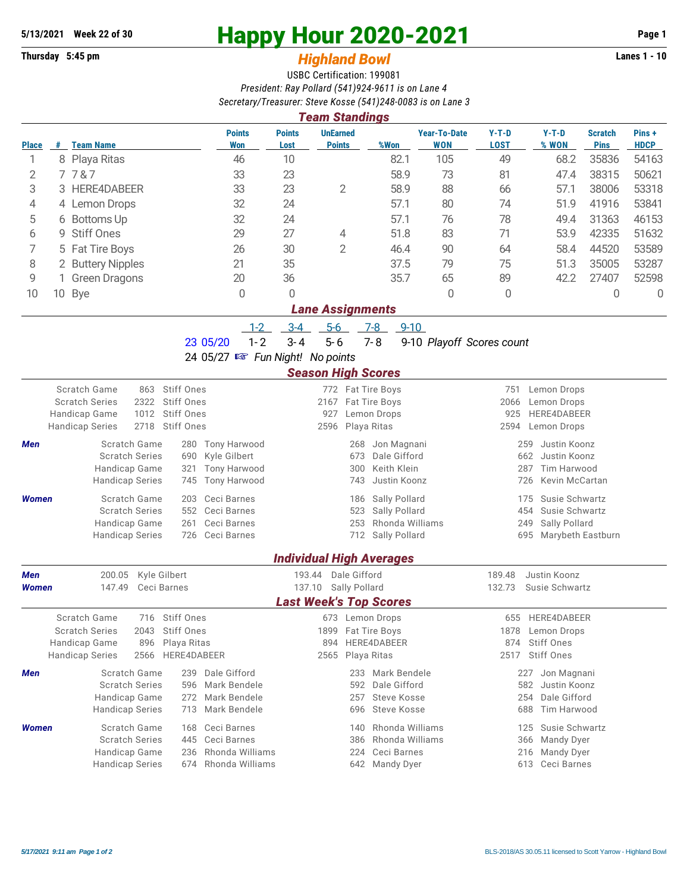## **Thursday 5:45 pm** *Highland Bowl*

## **5/13/2021** Week 22 of 30<br> **Happy Hour 2020-2021** Page 1<br> **Highland Rowl Page 1**<br> **Highland Rowl Lanes 1 - 10**

## USBC Certification: 199081 *President: Ray Pollard (541)924-9611 is on Lane 4 Secretary/Treasurer: Steve Kosse (541)248-0083 is on Lane 3*

| <b>Team Standings</b>                                                              |                                 |                                                                                  |                                |                                 |                                  |                                       |                                   |                            |                                        |                               |                      |  |  |  |
|------------------------------------------------------------------------------------|---------------------------------|----------------------------------------------------------------------------------|--------------------------------|---------------------------------|----------------------------------|---------------------------------------|-----------------------------------|----------------------------|----------------------------------------|-------------------------------|----------------------|--|--|--|
| <b>Place</b>                                                                       |                                 | # Team Name                                                                      | <b>Points</b><br>Won           | <b>Points</b><br>Lost           | <b>UnEarned</b><br><b>Points</b> | %Won                                  | <b>Year-To-Date</b><br><b>WON</b> | $Y-T-D$<br><b>LOST</b>     | $Y-T-D$<br>% WON                       | <b>Scratch</b><br><b>Pins</b> | Pins+<br><b>HDCP</b> |  |  |  |
| 1                                                                                  |                                 | 8 Playa Ritas                                                                    | 46                             | 10                              |                                  | 82.1                                  | 105                               | 49                         | 68.2                                   | 35836                         | 54163                |  |  |  |
| 2                                                                                  |                                 | 7787                                                                             | 33                             | 23                              |                                  | 58.9                                  | 73                                | 81                         | 47.4                                   | 38315                         | 50621                |  |  |  |
| 3                                                                                  |                                 | 3 HERE4DABEER                                                                    | 33                             | 23                              | $\overline{2}$                   | 58.9                                  | 88                                | 66                         | 57.1                                   | 38006                         | 53318                |  |  |  |
| 4                                                                                  |                                 | 4 Lemon Drops                                                                    | 32                             | 24                              |                                  | 57.1                                  | 80                                | 74                         | 51.9                                   | 41916                         | 53841                |  |  |  |
| 5                                                                                  |                                 | 6 Bottoms Up                                                                     | 32                             | 24                              |                                  | 57.1                                  | 76                                | 78                         | 49.4                                   | 31363                         | 46153                |  |  |  |
| 6                                                                                  | 9                               | <b>Stiff Ones</b>                                                                | 29                             | 27                              | 4                                | 51.8                                  | 83                                | 71                         | 53.9                                   | 42335                         | 51632                |  |  |  |
| 7                                                                                  |                                 | 5 Fat Tire Boys                                                                  | 26                             | 30                              | $\overline{2}$                   | 46.4                                  | 90                                | 64                         | 58.4                                   | 44520                         | 53589                |  |  |  |
| 8                                                                                  |                                 | 2 Buttery Nipples                                                                | 21                             | 35                              |                                  | 37.5                                  | 79                                | 75                         | 51.3                                   | 35005                         | 53287                |  |  |  |
| 9                                                                                  |                                 | <b>Green Dragons</b>                                                             | 20                             | 36                              |                                  | 35.7                                  | 65                                | 89                         | 42.2                                   | 27407                         | 52598                |  |  |  |
| 10                                                                                 |                                 | 10 Bye                                                                           | $\Omega$                       | 0                               |                                  |                                       | $\theta$                          | 0                          |                                        | $\mathbf 0$                   | $\mathbf 0$          |  |  |  |
|                                                                                    | <b>Lane Assignments</b>         |                                                                                  |                                |                                 |                                  |                                       |                                   |                            |                                        |                               |                      |  |  |  |
|                                                                                    |                                 |                                                                                  | $1 - 2$                        | $3-4$                           | $5-6$                            | $7 - 8$<br>$9 - 10$                   |                                   |                            |                                        |                               |                      |  |  |  |
|                                                                                    |                                 |                                                                                  | $1 - 2$<br>23 05/20            | $3 - 4$                         | $5 - 6$                          | $7 - 8$                               |                                   | 9-10 Playoff Scores count  |                                        |                               |                      |  |  |  |
|                                                                                    | 24 05/27 B Fun Night! No points |                                                                                  |                                |                                 |                                  |                                       |                                   |                            |                                        |                               |                      |  |  |  |
| <b>Season High Scores</b>                                                          |                                 |                                                                                  |                                |                                 |                                  |                                       |                                   |                            |                                        |                               |                      |  |  |  |
|                                                                                    |                                 | Scratch Game<br><b>Stiff Ones</b><br>863                                         |                                |                                 | 772 Fat Tire Boys                |                                       | 751                               | Lemon Drops<br>Lemon Drops |                                        |                               |                      |  |  |  |
| <b>Scratch Series</b><br>2322<br>Stiff Ones<br>Stiff Ones<br>Handicap Game<br>1012 |                                 |                                                                                  | 2167<br>927                    |                                 | Fat Tire Boys<br>Lemon Drops     |                                       | 2066                              | HERE4DABEER<br>925         |                                        |                               |                      |  |  |  |
| 2718<br>Stiff Ones<br><b>Handicap Series</b>                                       |                                 |                                                                                  |                                | 2596                            |                                  | Playa Ritas                           |                                   | 2594                       | Lemon Drops                            |                               |                      |  |  |  |
| Men                                                                                |                                 | Scratch Game<br>280                                                              | <b>Tony Harwood</b>            |                                 | 268                              | Jon Magnani                           |                                   | 259                        | Justin Koonz                           |                               |                      |  |  |  |
|                                                                                    |                                 | <b>Scratch Series</b><br>690                                                     | Kyle Gilbert                   |                                 | 673                              | Dale Gifford                          |                                   |                            | 662<br>Justin Koonz                    |                               |                      |  |  |  |
|                                                                                    |                                 | Handicap Game<br>321                                                             | <b>Tony Harwood</b>            | Keith Klein<br>287<br>300       |                                  |                                       |                                   |                            |                                        | Tim Harwood                   |                      |  |  |  |
|                                                                                    |                                 | <b>Handicap Series</b><br>745                                                    | Tony Harwood                   |                                 | 743                              | Justin Koonz                          |                                   | 726                        | Kevin McCartan                         |                               |                      |  |  |  |
| <b>Women</b>                                                                       |                                 | Scratch Game<br>203                                                              | Ceci Barnes                    |                                 | 186                              | Sally Pollard                         |                                   | 175                        | Susie Schwartz                         |                               |                      |  |  |  |
|                                                                                    |                                 | <b>Scratch Series</b><br>552                                                     | Ceci Barnes<br>Ceci Barnes     |                                 | 523                              | Sally Pollard<br>Rhonda Williams      |                                   |                            | 454<br>Susie Schwartz<br>249           |                               |                      |  |  |  |
|                                                                                    |                                 | Handicap Game<br>261<br><b>Handicap Series</b><br>726                            | Ceci Barnes                    |                                 | 253<br>712                       | Sally Pollard                         |                                   |                            | Sally Pollard<br>695 Marybeth Eastburn |                               |                      |  |  |  |
|                                                                                    |                                 |                                                                                  |                                |                                 |                                  |                                       |                                   |                            |                                        |                               |                      |  |  |  |
|                                                                                    |                                 |                                                                                  |                                | <b>Individual High Averages</b> |                                  |                                       |                                   |                            |                                        |                               |                      |  |  |  |
| Men                                                                                |                                 | 200.05<br>Kyle Gilbert                                                           |                                | 193.44 Dale Gifford             |                                  |                                       |                                   | 189.48                     | Justin Koonz                           |                               |                      |  |  |  |
| Women                                                                              |                                 | 147.49<br>Ceci Barnes                                                            |                                | 137.10                          | Sally Pollard                    |                                       |                                   | 132.73                     | Susie Schwartz                         |                               |                      |  |  |  |
|                                                                                    |                                 |                                                                                  |                                | <b>Last Week's Top Scores</b>   |                                  |                                       |                                   |                            |                                        |                               |                      |  |  |  |
|                                                                                    |                                 | Scratch Game<br>716<br>Stiff Ones<br><b>Scratch Series</b><br>Stiff Ones<br>2043 |                                |                                 |                                  | 673 Lemon Drops<br>1899 Fat Tire Boys |                                   | 655<br>1878                | HERE4DABEER<br>Lemon Drops             |                               |                      |  |  |  |
| Handicap Game<br>896<br>Playa Ritas                                                |                                 | 894                                                                              |                                | HERE4DABEER                     |                                  | 874                                   | Stiff Ones                        |                            |                                        |                               |                      |  |  |  |
| <b>Handicap Series</b><br>2566<br>HERE4DABEER                                      |                                 |                                                                                  |                                | 2565                            |                                  | Playa Ritas                           |                                   | 2517                       | <b>Stiff Ones</b>                      |                               |                      |  |  |  |
| Scratch Game<br>Dale Gifford<br>239<br>Men                                         |                                 |                                                                                  |                                |                                 | 233 Mark Bendele                 |                                       |                                   | 227 Jon Magnani            |                                        |                               |                      |  |  |  |
|                                                                                    |                                 | <b>Scratch Series</b>                                                            | 596 Mark Bendele               |                                 | 592                              | Dale Gifford                          |                                   | Justin Koonz<br>582        |                                        |                               |                      |  |  |  |
|                                                                                    |                                 | Handicap Game<br>272                                                             | Mark Bendele                   | 257<br>Steve Kosse              |                                  |                                       |                                   |                            | Dale Gifford<br>254                    |                               |                      |  |  |  |
|                                                                                    |                                 | <b>Handicap Series</b><br>713                                                    | Mark Bendele                   |                                 | 696                              | <b>Steve Kosse</b>                    |                                   | 688                        | Tim Harwood                            |                               |                      |  |  |  |
| <b>Women</b>                                                                       |                                 | Scratch Game<br>168                                                              | Ceci Barnes                    |                                 | 140                              | Rhonda Williams                       |                                   | 125                        | Susie Schwartz                         |                               |                      |  |  |  |
|                                                                                    |                                 | <b>Scratch Series</b><br>445<br>Handicap Game                                    | Ceci Barnes<br>Rhonda Williams |                                 | 386<br>224                       | Rhonda Williams<br>Ceci Barnes        |                                   | 366                        | <b>Mandy Dyer</b><br>Mandy Dyer        |                               |                      |  |  |  |
|                                                                                    |                                 | 236<br><b>Handicap Series</b><br>674                                             | Rhonda Williams                |                                 |                                  | 642 Mandy Dyer                        |                                   | 216                        | 613 Ceci Barnes                        |                               |                      |  |  |  |